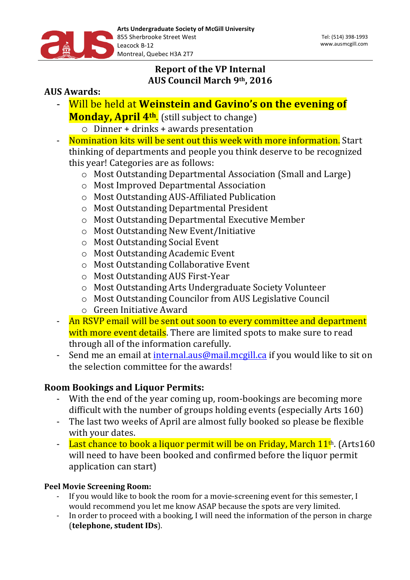

# **Report of the VP Internal AUS Council March 9th, 2016**

# **AUS** Awards:

- Will be held at **Weinstein and Gavino's on the evening of Monday, April 4<sup>th</sup>.** (still subject to change)
	- $\circ$  Dinner + drinks + awards presentation
- Nomination kits will be sent out this week with more information. Start thinking of departments and people you think deserve to be recognized this year! Categories are as follows:
	- o Most Outstanding Departmental Association (Small and Large)
	- o Most Improved Departmental Association
	- o Most Outstanding AUS-Affiliated Publication
	- o Most Outstanding Departmental President
	- o Most Outstanding Departmental Executive Member
	- o Most Outstanding New Event/Initiative
	- o Most Outstanding Social Event
	- o Most Outstanding Academic Event
	- o Most Outstanding Collaborative Event
	- o Most Outstanding AUS First-Year
	- o Most Outstanding Arts Undergraduate Society Volunteer
	- o Most Outstanding Councilor from AUS Legislative Council
	- $\circ$  Green Initiative Award
- An RSVP email will be sent out soon to every committee and department with more event details. There are limited spots to make sure to read through all of the information carefully.
- Send me an email at internal.aus@mail.mcgill.ca if you would like to sit on the selection committee for the awards!

## **Room Bookings and Liquor Permits:**

- With the end of the year coming up, room-bookings are becoming more difficult with the number of groups holding events (especially Arts 160)
- The last two weeks of April are almost fully booked so please be flexible with your dates.
- Last chance to book a liquor permit will be on Friday, March  $11<sup>th</sup>$ . (Arts160 will need to have been booked and confirmed before the liquor permit application can start)

## **Peel Movie Screening Room:**

- If you would like to book the room for a movie-screening event for this semester, I would recommend you let me know ASAP because the spots are very limited.
- In order to proceed with a booking, I will need the information of the person in charge (**telephone, student IDs**).